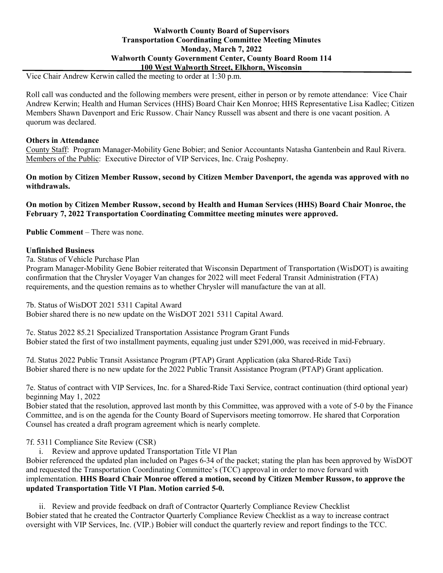## **Walworth County Board of Supervisors Transportation Coordinating Committee Meeting Minutes Monday, March 7, 2022 Walworth County Government Center, County Board Room 114 100 West Walworth Street, Elkhorn, Wisconsin**

Vice Chair Andrew Kerwin called the meeting to order at 1:30 p.m.

Roll call was conducted and the following members were present, either in person or by remote attendance: Vice Chair Andrew Kerwin; Health and Human Services (HHS) Board Chair Ken Monroe; HHS Representative Lisa Kadlec; Citizen Members Shawn Davenport and Eric Russow. Chair Nancy Russell was absent and there is one vacant position. A quorum was declared.

#### **Others in Attendance**

County Staff: Program Manager-Mobility Gene Bobier; and Senior Accountants Natasha Gantenbein and Raul Rivera. Members of the Public: Executive Director of VIP Services, Inc. Craig Poshepny.

### **On motion by Citizen Member Russow, second by Citizen Member Davenport, the agenda was approved with no withdrawals.**

**On motion by Citizen Member Russow, second by Health and Human Services (HHS) Board Chair Monroe, the February 7, 2022 Transportation Coordinating Committee meeting minutes were approved.**

**Public Comment** – There was none.

#### **Unfinished Business**

7a. Status of Vehicle Purchase Plan

Program Manager-Mobility Gene Bobier reiterated that Wisconsin Department of Transportation (WisDOT) is awaiting confirmation that the Chrysler Voyager Van changes for 2022 will meet Federal Transit Administration (FTA) requirements, and the question remains as to whether Chrysler will manufacture the van at all.

7b. Status of WisDOT 2021 5311 Capital Award

Bobier shared there is no new update on the WisDOT 2021 5311 Capital Award.

7c. Status 2022 85.21 Specialized Transportation Assistance Program Grant Funds Bobier stated the first of two installment payments, equaling just under \$291,000, was received in mid-February.

7d. Status 2022 Public Transit Assistance Program (PTAP) Grant Application (aka Shared-Ride Taxi) Bobier shared there is no new update for the 2022 Public Transit Assistance Program (PTAP) Grant application.

7e. Status of contract with VIP Services, Inc. for a Shared-Ride Taxi Service, contract continuation (third optional year) beginning May 1, 2022

Bobier stated that the resolution, approved last month by this Committee, was approved with a vote of 5-0 by the Finance Committee, and is on the agenda for the County Board of Supervisors meeting tomorrow. He shared that Corporation Counsel has created a draft program agreement which is nearly complete.

7f. 5311 Compliance Site Review (CSR)

i. Review and approve updated Transportation Title VI Plan

Bobier referenced the updated plan included on Pages 6-34 of the packet; stating the plan has been approved by WisDOT and requested the Transportation Coordinating Committee's (TCC) approval in order to move forward with implementation. **HHS Board Chair Monroe offered a motion, second by Citizen Member Russow, to approve the updated Transportation Title VI Plan. Motion carried 5-0.**

ii. Review and provide feedback on draft of Contractor Quarterly Compliance Review Checklist Bobier stated that he created the Contractor Quarterly Compliance Review Checklist as a way to increase contract oversight with VIP Services, Inc. (VIP.) Bobier will conduct the quarterly review and report findings to the TCC.